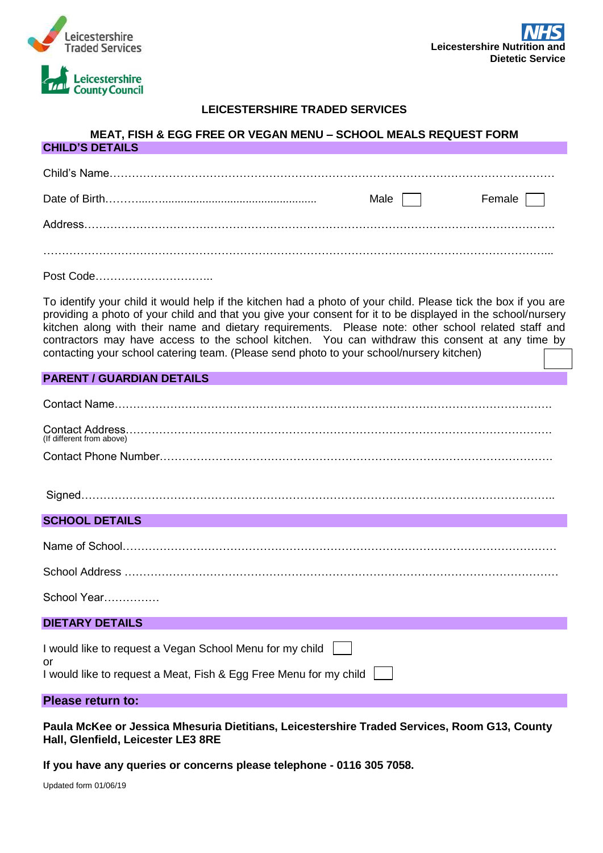

**CHILD'S DETAILS**



## **LEICESTERSHIRE TRADED SERVICES**

## **MEAT, FISH & EGG FREE OR VEGAN MENU – SCHOOL MEALS REQUEST FORM**

|  | Male I I | Female $\vert$ $\vert$ |
|--|----------|------------------------|
|  |          |                        |
|  |          |                        |
|  |          |                        |
|  |          |                        |

To identify your child it would help if the kitchen had a photo of your child. Please tick the box if you are providing a photo of your child and that you give your consent for it to be displayed in the school/nursery kitchen along with their name and dietary requirements. Please note: other school related staff and contractors may have access to the school kitchen. You can withdraw this consent at any time by contacting your school catering team. (Please send photo to your school/nursery kitchen)

#### **PARENT / GUARDIAN DETAILS**

| (If different from above) |  |
|---------------------------|--|
|                           |  |

## **SCHOOL DETAILS**

| School Address |  |
|----------------|--|

School Address ………………………………………………………………………………………………………

School Year……………

#### **DIETARY DETAILS**

| I would like to request a Vegan School Menu for my child                |  |
|-------------------------------------------------------------------------|--|
| or<br>I would like to request a Meat, Fish & Egg Free Menu for my child |  |

#### **Please return to:**

**Paula McKee or Jessica Mhesuria Dietitians, Leicestershire Traded Services, Room G13, County Hall, Glenfield, Leicester LE3 8RE**

**If you have any queries or concerns please telephone - 0116 305 7058.**

Updated form 01/06/19